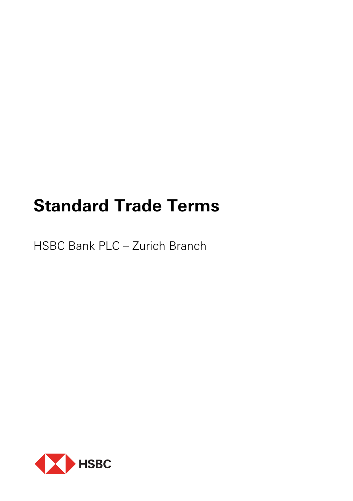# **Standard Trade Terms**

HSBC Bank PLC – Zurich Branch

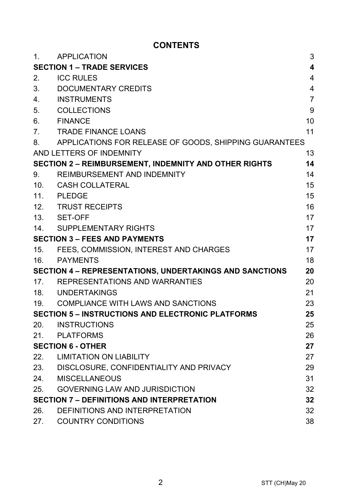# **CONTENTS**

| 1.                                                       | <b>APPLICATION</b>                                     | 3                       |
|----------------------------------------------------------|--------------------------------------------------------|-------------------------|
| <b>SECTION 1 – TRADE SERVICES</b>                        |                                                        | $\overline{\mathbf{4}}$ |
| 2.                                                       | <b>ICC RULES</b>                                       | $\overline{4}$          |
| 3.                                                       | DOCUMENTARY CREDITS                                    | 4                       |
| 4 <sub>1</sub>                                           | INSTRUMENTS                                            | $\overline{7}$          |
| 5.                                                       | COLLECTIONS                                            | 9                       |
| 6.                                                       | <b>FINANCE</b>                                         | 10                      |
| 7.                                                       | <b>TRADE FINANCE LOANS</b>                             | 11                      |
| 8.                                                       | APPLICATIONS FOR RELEASE OF GOODS, SHIPPING GUARANTEES |                         |
|                                                          | AND LETTERS OF INDEMNITY                               | 13                      |
|                                                          | SECTION 2 - REIMBURSEMENT, INDEMNITY AND OTHER RIGHTS  | 14                      |
| 9.                                                       | REIMBURSEMENT AND INDEMNITY                            | 14                      |
| 10.                                                      | CASH COLLATERAL                                        | 15                      |
| 11.                                                      | <b>PLEDGE</b>                                          | 15                      |
|                                                          | 12. TRUST RECEIPTS                                     | 16                      |
|                                                          | 13. SET-OFF                                            | 17                      |
| 14.                                                      | SUPPLEMENTARY RIGHTS                                   | 17                      |
| <b>SECTION 3 - FEES AND PAYMENTS</b>                     |                                                        | 17                      |
| 15.                                                      | FEES, COMMISSION, INTEREST AND CHARGES                 | 17                      |
|                                                          | 16. PAYMENTS                                           | 18                      |
| SECTION 4 - REPRESENTATIONS, UNDERTAKINGS AND SANCTIONS  |                                                        | 20                      |
| 17.                                                      | REPRESENTATIONS AND WARRANTIES                         | 20                      |
|                                                          | 18. UNDERTAKINGS                                       | 21                      |
|                                                          | 19. COMPLIANCE WITH LAWS AND SANCTIONS                 | 23                      |
| <b>SECTION 5 - INSTRUCTIONS AND ELECTRONIC PLATFORMS</b> |                                                        | 25                      |
| 20.                                                      | <b>INSTRUCTIONS</b>                                    | 25                      |
|                                                          | 21. PLATFORMS                                          | 26                      |
| <b>SECTION 6 - OTHER</b>                                 |                                                        | 27                      |
| 22.                                                      | <b>LIMITATION ON LIABILITY</b>                         | 27                      |
|                                                          | 23. DISCLOSURE, CONFIDENTIALITY AND PRIVACY            | 29                      |
| 24.                                                      | MISCELLANEOUS                                          | 31                      |
| 25.                                                      | <b>GOVERNING LAW AND JURISDICTION</b>                  | 32                      |
| <b>SECTION 7 - DEFINITIONS AND INTERPRETATION</b>        |                                                        | 32                      |
| 26.                                                      | DEFINITIONS AND INTERPRETATION                         | 32                      |
| 27.                                                      | <b>COUNTRY CONDITIONS</b>                              | 38                      |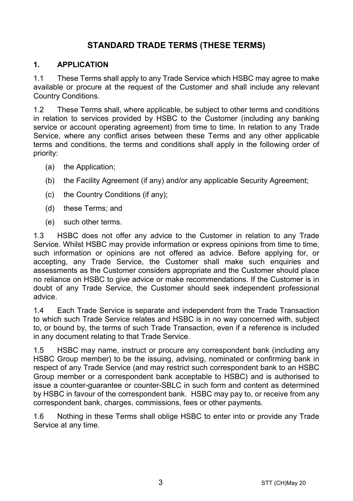# **STANDARD TRADE TERMS (THESE TERMS)**

#### **1. APPLICATION**

1.1 These Terms shall apply to any Trade Service which HSBC may agree to make available or procure at the request of the Customer and shall include any relevant Country Conditions.

1.2 These Terms shall, where applicable, be subject to other terms and conditions in relation to services provided by HSBC to the Customer (including any banking service or account operating agreement) from time to time. In relation to any Trade Service, where any conflict arises between these Terms and any other applicable terms and conditions, the terms and conditions shall apply in the following order of priority:

- (a) the Application;
- (b) the Facility Agreement (if any) and/or any applicable Security Agreement;
- (c) the Country Conditions (if any);
- (d) these Terms; and
- (e) such other terms.

1.3 HSBC does not offer any advice to the Customer in relation to any Trade Service. Whilst HSBC may provide information or express opinions from time to time, such information or opinions are not offered as advice. Before applying for, or accepting, any Trade Service, the Customer shall make such enquiries and assessments as the Customer considers appropriate and the Customer should place no reliance on HSBC to give advice or make recommendations. If the Customer is in doubt of any Trade Service, the Customer should seek independent professional advice.

1.4 Each Trade Service is separate and independent from the Trade Transaction to which such Trade Service relates and HSBC is in no way concerned with, subject to, or bound by, the terms of such Trade Transaction, even if a reference is included in any document relating to that Trade Service.

1.5 HSBC may name, instruct or procure any correspondent bank (including any HSBC Group member) to be the issuing, advising, nominated or confirming bank in respect of any Trade Service (and may restrict such correspondent bank to an HSBC Group member or a correspondent bank acceptable to HSBC) and is authorised to issue a counter-guarantee or counter-SBLC in such form and content as determined by HSBC in favour of the correspondent bank. HSBC may pay to, or receive from any correspondent bank, charges, commissions, fees or other payments.

1.6 Nothing in these Terms shall oblige HSBC to enter into or provide any Trade Service at any time.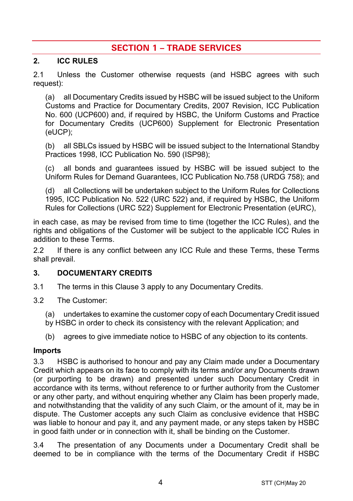# **SECTION 1 – TRADE SERVICES**

#### **2. ICC RULES**

2.1 Unless the Customer otherwise requests (and HSBC agrees with such request):

(a) all Documentary Credits issued by HSBC will be issued subject to the Uniform Customs and Practice for Documentary Credits, 2007 Revision, ICC Publication No. 600 (UCP600) and, if required by HSBC, the Uniform Customs and Practice for Documentary Credits (UCP600) Supplement for Electronic Presentation (eUCP);

(b) all SBLCs issued by HSBC will be issued subject to the International Standby Practices 1998, ICC Publication No. 590 (ISP98);

(c) all bonds and guarantees issued by HSBC will be issued subject to the Uniform Rules for Demand Guarantees, ICC Publication No.758 (URDG 758); and

(d) all Collections will be undertaken subject to the Uniform Rules for Collections 1995, ICC Publication No. 522 (URC 522) and, if required by HSBC, the Uniform Rules for Collections (URC 522) Supplement for Electronic Presentation (eURC),

in each case, as may be revised from time to time (together the ICC Rules), and the rights and obligations of the Customer will be subject to the applicable ICC Rules in addition to these Terms.

2.2 If there is any conflict between any ICC Rule and these Terms, these Terms shall prevail.

## **3. DOCUMENTARY CREDITS**

- 3.1 The terms in this Clause 3 apply to any Documentary Credits.
- 3.2 The Customer:
	- (a) undertakes to examine the customer copy of each Documentary Credit issued
	- by HSBC in order to check its consistency with the relevant Application; and
	- (b) agrees to give immediate notice to HSBC of any objection to its contents.

#### **Imports**

3.3 HSBC is authorised to honour and pay any Claim made under a Documentary Credit which appears on its face to comply with its terms and/or any Documents drawn (or purporting to be drawn) and presented under such Documentary Credit in accordance with its terms, without reference to or further authority from the Customer or any other party, and without enquiring whether any Claim has been properly made, and notwithstanding that the validity of any such Claim, or the amount of it, may be in dispute. The Customer accepts any such Claim as conclusive evidence that HSBC was liable to honour and pay it, and any payment made, or any steps taken by HSBC in good faith under or in connection with it, shall be binding on the Customer.

3.4 The presentation of any Documents under a Documentary Credit shall be deemed to be in compliance with the terms of the Documentary Credit if HSBC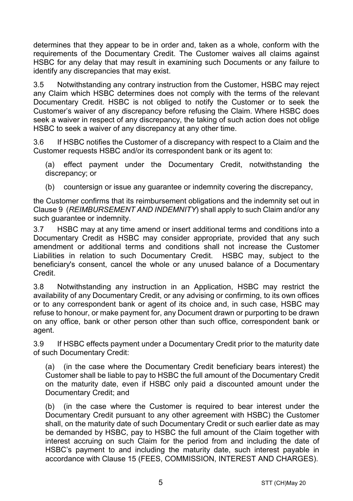determines that they appear to be in order and, taken as a whole, conform with the requirements of the Documentary Credit. The Customer waives all claims against HSBC for any delay that may result in examining such Documents or any failure to identify any discrepancies that may exist.

3.5 Notwithstanding any contrary instruction from the Customer, HSBC may reject any Claim which HSBC determines does not comply with the terms of the relevant Documentary Credit. HSBC is not obliged to notify the Customer or to seek the Customer's waiver of any discrepancy before refusing the Claim. Where HSBC does seek a waiver in respect of any discrepancy, the taking of such action does not oblige HSBC to seek a waiver of any discrepancy at any other time.

3.6 If HSBC notifies the Customer of a discrepancy with respect to a Claim and the Customer requests HSBC and/or its correspondent bank or its agent to:

(a) effect payment under the Documentary Credit, notwithstanding the discrepancy; or

(b) countersign or issue any guarantee or indemnity covering the discrepancy,

the Customer confirms that its reimbursement obligations and the indemnity set out in Clause 9 (*REIMBURSEMENT AND INDEMNITY*) shall apply to such Claim and/or any such guarantee or indemnity.

3.7 HSBC may at any time amend or insert additional terms and conditions into a Documentary Credit as HSBC may consider appropriate, provided that any such amendment or additional terms and conditions shall not increase the Customer Liabilities in relation to such Documentary Credit. HSBC may, subject to the beneficiary's consent, cancel the whole or any unused balance of a Documentary Credit.

3.8 Notwithstanding any instruction in an Application, HSBC may restrict the availability of any Documentary Credit, or any advising or confirming, to its own offices or to any correspondent bank or agent of its choice and, in such case, HSBC may refuse to honour, or make payment for, any Document drawn or purporting to be drawn on any office, bank or other person other than such office, correspondent bank or agent.

3.9 If HSBC effects payment under a Documentary Credit prior to the maturity date of such Documentary Credit:

(a) (in the case where the Documentary Credit beneficiary bears interest) the Customer shall be liable to pay to HSBC the full amount of the Documentary Credit on the maturity date, even if HSBC only paid a discounted amount under the Documentary Credit; and

(b) (in the case where the Customer is required to bear interest under the Documentary Credit pursuant to any other agreement with HSBC) the Customer shall, on the maturity date of such Documentary Credit or such earlier date as may be demanded by HSBC, pay to HSBC the full amount of the Claim together with interest accruing on such Claim for the period from and including the date of HSBC's payment to and including the maturity date, such interest payable in accordance with Clause 15 (FEES, COMMISSION, INTEREST AND CHARGES).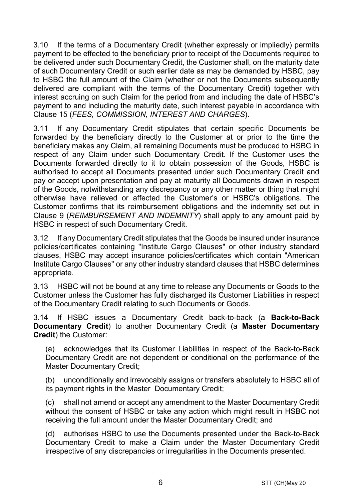3.10 If the terms of a Documentary Credit (whether expressly or impliedly) permits payment to be effected to the beneficiary prior to receipt of the Documents required to be delivered under such Documentary Credit, the Customer shall, on the maturity date of such Documentary Credit or such earlier date as may be demanded by HSBC, pay to HSBC the full amount of the Claim (whether or not the Documents subsequently delivered are compliant with the terms of the Documentary Credit) together with interest accruing on such Claim for the period from and including the date of HSBC's payment to and including the maturity date, such interest payable in accordance with Clause 15 (*FEES, COMMISSION, INTEREST AND CHARGES*).

3.11 If any Documentary Credit stipulates that certain specific Documents be forwarded by the beneficiary directly to the Customer at or prior to the time the beneficiary makes any Claim, all remaining Documents must be produced to HSBC in respect of any Claim under such Documentary Credit. If the Customer uses the Documents forwarded directly to it to obtain possession of the Goods, HSBC is authorised to accept all Documents presented under such Documentary Credit and pay or accept upon presentation and pay at maturity all Documents drawn in respect of the Goods, notwithstanding any discrepancy or any other matter or thing that might otherwise have relieved or affected the Customer's or HSBC's obligations. The Customer confirms that its reimbursement obligations and the indemnity set out in Clause 9 (*REIMBURSEMENT AND INDEMNITY*) shall apply to any amount paid by HSBC in respect of such Documentary Credit.

3.12 If any Documentary Credit stipulates that the Goods be insured under insurance policies/certificates containing "Institute Cargo Clauses" or other industry standard clauses, HSBC may accept insurance policies/certificates which contain "American Institute Cargo Clauses" or any other industry standard clauses that HSBC determines appropriate.

3.13 HSBC will not be bound at any time to release any Documents or Goods to the Customer unless the Customer has fully discharged its Customer Liabilities in respect of the Documentary Credit relating to such Documents or Goods.

3.14 If HSBC issues a Documentary Credit back-to-back (a **Back-to-Back Documentary Credit**) to another Documentary Credit (a **Master Documentary Credit**) the Customer:

(a) acknowledges that its Customer Liabilities in respect of the Back-to-Back Documentary Credit are not dependent or conditional on the performance of the Master Documentary Credit;

(b) unconditionally and irrevocably assigns or transfers absolutely to HSBC all of its payment rights in the Master Documentary Credit;

(c) shall not amend or accept any amendment to the Master Documentary Credit without the consent of HSBC or take any action which might result in HSBC not receiving the full amount under the Master Documentary Credit; and

(d) authorises HSBC to use the Documents presented under the Back-to-Back Documentary Credit to make a Claim under the Master Documentary Credit irrespective of any discrepancies or irregularities in the Documents presented.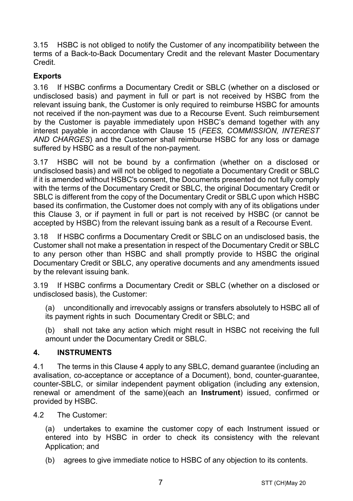3.15 HSBC is not obliged to notify the Customer of any incompatibility between the terms of a Back-to-Back Documentary Credit and the relevant Master Documentary Credit.

# **Exports**

3.16 If HSBC confirms a Documentary Credit or SBLC (whether on a disclosed or undisclosed basis) and payment in full or part is not received by HSBC from the relevant issuing bank, the Customer is only required to reimburse HSBC for amounts not received if the non-payment was due to a Recourse Event. Such reimbursement by the Customer is payable immediately upon HSBC's demand together with any interest payable in accordance with Clause 15 (*FEES, COMMISSION, INTEREST AND CHARGES*) and the Customer shall reimburse HSBC for any loss or damage suffered by HSBC as a result of the non-payment.

3.17 HSBC will not be bound by a confirmation (whether on a disclosed or undisclosed basis) and will not be obliged to negotiate a Documentary Credit or SBLC if it is amended without HSBC's consent, the Documents presented do not fully comply with the terms of the Documentary Credit or SBLC, the original Documentary Credit or SBLC is different from the copy of the Documentary Credit or SBLC upon which HSBC based its confirmation, the Customer does not comply with any of its obligations under this Clause 3, or if payment in full or part is not received by HSBC (or cannot be accepted by HSBC) from the relevant issuing bank as a result of a Recourse Event.

3.18 If HSBC confirms a Documentary Credit or SBLC on an undisclosed basis, the Customer shall not make a presentation in respect of the Documentary Credit or SBLC to any person other than HSBC and shall promptly provide to HSBC the original Documentary Credit or SBLC, any operative documents and any amendments issued by the relevant issuing bank.

3.19 If HSBC confirms a Documentary Credit or SBLC (whether on a disclosed or undisclosed basis), the Customer:

(a) unconditionally and irrevocably assigns or transfers absolutely to HSBC all of its payment rights in such Documentary Credit or SBLC; and

(b) shall not take any action which might result in HSBC not receiving the full amount under the Documentary Credit or SBLC.

## **4. INSTRUMENTS**

4.1 The terms in this Clause 4 apply to any SBLC, demand guarantee (including an avalisation, co-acceptance or acceptance of a Document), bond, counter-guarantee, counter-SBLC, or similar independent payment obligation (including any extension, renewal or amendment of the same)(each an **Instrument**) issued, confirmed or provided by HSBC.

4.2 The Customer:

(a) undertakes to examine the customer copy of each Instrument issued or entered into by HSBC in order to check its consistency with the relevant Application; and

(b) agrees to give immediate notice to HSBC of any objection to its contents.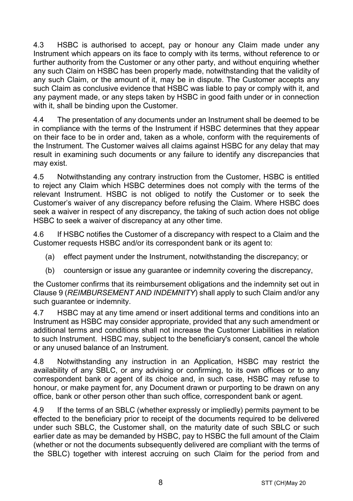4.3 HSBC is authorised to accept, pay or honour any Claim made under any Instrument which appears on its face to comply with its terms, without reference to or further authority from the Customer or any other party, and without enquiring whether any such Claim on HSBC has been properly made, notwithstanding that the validity of any such Claim, or the amount of it, may be in dispute. The Customer accepts any such Claim as conclusive evidence that HSBC was liable to pay or comply with it, and any payment made, or any steps taken by HSBC in good faith under or in connection with it, shall be binding upon the Customer.

4.4 The presentation of any documents under an Instrument shall be deemed to be in compliance with the terms of the Instrument if HSBC determines that they appear on their face to be in order and, taken as a whole, conform with the requirements of the Instrument. The Customer waives all claims against HSBC for any delay that may result in examining such documents or any failure to identify any discrepancies that may exist.

4.5 Notwithstanding any contrary instruction from the Customer, HSBC is entitled to reject any Claim which HSBC determines does not comply with the terms of the relevant Instrument. HSBC is not obliged to notify the Customer or to seek the Customer's waiver of any discrepancy before refusing the Claim. Where HSBC does seek a waiver in respect of any discrepancy, the taking of such action does not oblige HSBC to seek a waiver of discrepancy at any other time.

4.6 If HSBC notifies the Customer of a discrepancy with respect to a Claim and the Customer requests HSBC and/or its correspondent bank or its agent to:

- (a) effect payment under the Instrument, notwithstanding the discrepancy; or
- (b) countersign or issue any guarantee or indemnity covering the discrepancy,

the Customer confirms that its reimbursement obligations and the indemnity set out in Clause 9 (*REIMBURSEMENT AND INDEMNITY*) shall apply to such Claim and/or any such guarantee or indemnity.

4.7 HSBC may at any time amend or insert additional terms and conditions into an Instrument as HSBC may consider appropriate, provided that any such amendment or additional terms and conditions shall not increase the Customer Liabilities in relation to such Instrument. HSBC may, subject to the beneficiary's consent, cancel the whole or any unused balance of an Instrument.

4.8 Notwithstanding any instruction in an Application, HSBC may restrict the availability of any SBLC, or any advising or confirming, to its own offices or to any correspondent bank or agent of its choice and, in such case, HSBC may refuse to honour, or make payment for, any Document drawn or purporting to be drawn on any office, bank or other person other than such office, correspondent bank or agent.

4.9 If the terms of an SBLC (whether expressly or impliedly) permits payment to be effected to the beneficiary prior to receipt of the documents required to be delivered under such SBLC, the Customer shall, on the maturity date of such SBLC or such earlier date as may be demanded by HSBC, pay to HSBC the full amount of the Claim (whether or not the documents subsequently delivered are compliant with the terms of the SBLC) together with interest accruing on such Claim for the period from and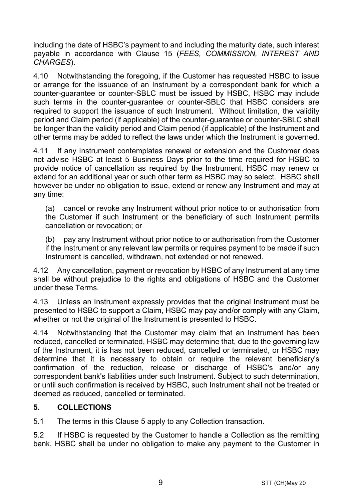including the date of HSBC's payment to and including the maturity date, such interest payable in accordance with Clause 15 (*FEES, COMMISSION, INTEREST AND CHARGES*).

4.10 Notwithstanding the foregoing, if the Customer has requested HSBC to issue or arrange for the issuance of an Instrument by a correspondent bank for which a counter-guarantee or counter-SBLC must be issued by HSBC, HSBC may include such terms in the counter-guarantee or counter-SBLC that HSBC considers are required to support the issuance of such Instrument. Without limitation, the validity period and Claim period (if applicable) of the counter-guarantee or counter-SBLC shall be longer than the validity period and Claim period (if applicable) of the Instrument and other terms may be added to reflect the laws under which the Instrument is governed.

4.11 If any Instrument contemplates renewal or extension and the Customer does not advise HSBC at least 5 Business Days prior to the time required for HSBC to provide notice of cancellation as required by the Instrument, HSBC may renew or extend for an additional year or such other term as HSBC may so select. HSBC shall however be under no obligation to issue, extend or renew any Instrument and may at any time:

(a) cancel or revoke any Instrument without prior notice to or authorisation from the Customer if such Instrument or the beneficiary of such Instrument permits cancellation or revocation; or

(b) pay any Instrument without prior notice to or authorisation from the Customer if the Instrument or any relevant law permits or requires payment to be made if such Instrument is cancelled, withdrawn, not extended or not renewed.

4.12 Any cancellation, payment or revocation by HSBC of any Instrument at any time shall be without prejudice to the rights and obligations of HSBC and the Customer under these Terms.

4.13 Unless an Instrument expressly provides that the original Instrument must be presented to HSBC to support a Claim, HSBC may pay and/or comply with any Claim, whether or not the original of the Instrument is presented to HSBC.

4.14 Notwithstanding that the Customer may claim that an Instrument has been reduced, cancelled or terminated, HSBC may determine that, due to the governing law of the Instrument, it is has not been reduced, cancelled or terminated, or HSBC may determine that it is necessary to obtain or require the relevant beneficiary's confirmation of the reduction, release or discharge of HSBC's and/or any correspondent bank's liabilities under such Instrument. Subject to such determination, or until such confirmation is received by HSBC, such Instrument shall not be treated or deemed as reduced, cancelled or terminated.

## **5. COLLECTIONS**

5.1 The terms in this Clause 5 apply to any Collection transaction.

5.2 If HSBC is requested by the Customer to handle a Collection as the remitting bank, HSBC shall be under no obligation to make any payment to the Customer in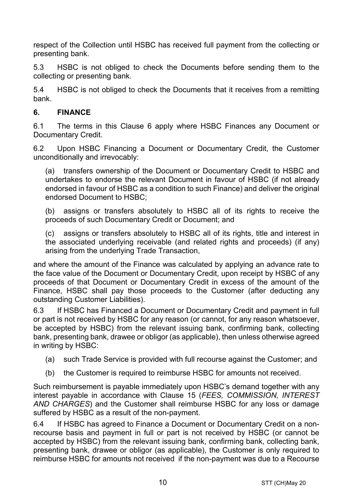respect of the Collection until HSBC has received full payment from the collecting or presenting bank.

5.3 HSBC is not obliged to check the Documents before sending them to the collecting or presenting bank.

5.4 HSBC is not obliged to check the Documents that it receives from a remitting bank.

## **6. FINANCE**

6.1 The terms in this Clause 6 apply where HSBC Finances any Document or Documentary Credit.

6.2 Upon HSBC Financing a Document or Documentary Credit, the Customer unconditionally and irrevocably:

(a) transfers ownership of the Document or Documentary Credit to HSBC and undertakes to endorse the relevant Document in favour of HSBC (if not already endorsed in favour of HSBC as a condition to such Finance) and deliver the original endorsed Document to HSBC;

(b) assigns or transfers absolutely to HSBC all of its rights to receive the proceeds of such Documentary Credit or Document; and

(c) assigns or transfers absolutely to HSBC all of its rights, title and interest in the associated underlying receivable (and related rights and proceeds) (if any) arising from the underlying Trade Transaction,

and where the amount of the Finance was calculated by applying an advance rate to the face value of the Document or Documentary Credit, upon receipt by HSBC of any proceeds of that Document or Documentary Credit in excess of the amount of the Finance, HSBC shall pay those proceeds to the Customer (after deducting any outstanding Customer Liabilities).

6.3 If HSBC has Financed a Document or Documentary Credit and payment in full or part is not received by HSBC for any reason (or cannot, for any reason whatsoever, be accepted by HSBC) from the relevant issuing bank, confirming bank, collecting bank, presenting bank, drawee or obligor (as applicable), then unless otherwise agreed in writing by HSBC:

- (a) such Trade Service is provided with full recourse against the Customer; and
- (b) the Customer is required to reimburse HSBC for amounts not received.

Such reimbursement is payable immediately upon HSBC's demand together with any interest payable in accordance with Clause 15 (*FEES, COMMISSION, INTEREST AND CHARGES*) and the Customer shall reimburse HSBC for any loss or damage suffered by HSBC as a result of the non-payment.

6.4 If HSBC has agreed to Finance a Document or Documentary Credit on a nonrecourse basis and payment in full or part is not received by HSBC (or cannot be accepted by HSBC) from the relevant issuing bank, confirming bank, collecting bank, presenting bank, drawee or obligor (as applicable), the Customer is only required to reimburse HSBC for amounts not received if the non-payment was due to a Recourse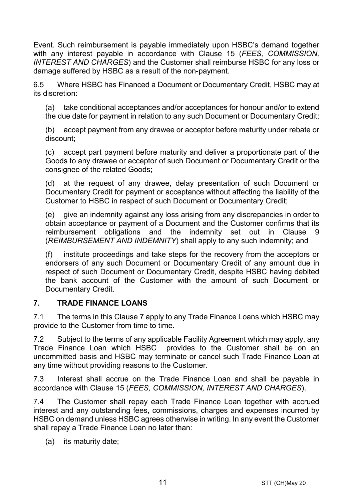Event. Such reimbursement is payable immediately upon HSBC's demand together with any interest payable in accordance with Clause 15 (*FEES, COMMISSION, INTEREST AND CHARGES*) and the Customer shall reimburse HSBC for any loss or damage suffered by HSBC as a result of the non-payment.

6.5 Where HSBC has Financed a Document or Documentary Credit, HSBC may at its discretion:

(a) take conditional acceptances and/or acceptances for honour and/or to extend the due date for payment in relation to any such Document or Documentary Credit;

(b) accept payment from any drawee or acceptor before maturity under rebate or discount;

(c) accept part payment before maturity and deliver a proportionate part of the Goods to any drawee or acceptor of such Document or Documentary Credit or the consignee of the related Goods;

(d) at the request of any drawee, delay presentation of such Document or Documentary Credit for payment or acceptance without affecting the liability of the Customer to HSBC in respect of such Document or Documentary Credit;

(e) give an indemnity against any loss arising from any discrepancies in order to obtain acceptance or payment of a Document and the Customer confirms that its reimbursement obligations and the indemnity set out in Clause 9 (*REIMBURSEMENT AND INDEMNITY*) shall apply to any such indemnity; and

(f) institute proceedings and take steps for the recovery from the acceptors or endorsers of any such Document or Documentary Credit of any amount due in respect of such Document or Documentary Credit, despite HSBC having debited the bank account of the Customer with the amount of such Document or Documentary Credit.

## **7. TRADE FINANCE LOANS**

7.1 The terms in this Clause 7 apply to any Trade Finance Loans which HSBC may provide to the Customer from time to time.

7.2 Subject to the terms of any applicable Facility Agreement which may apply, any Trade Finance Loan which HSBC provides to the Customer shall be on an uncommitted basis and HSBC may terminate or cancel such Trade Finance Loan at any time without providing reasons to the Customer.

7.3 Interest shall accrue on the Trade Finance Loan and shall be payable in accordance with Clause 15 (*FEES, COMMISSION, INTEREST AND CHARGES*).

7.4 The Customer shall repay each Trade Finance Loan together with accrued interest and any outstanding fees, commissions, charges and expenses incurred by HSBC on demand unless HSBC agrees otherwise in writing. In any event the Customer shall repay a Trade Finance Loan no later than:

(a) its maturity date;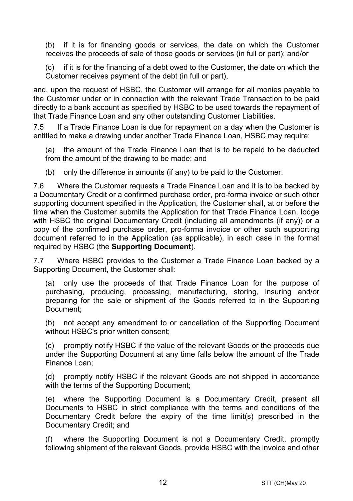(b) if it is for financing goods or services, the date on which the Customer receives the proceeds of sale of those goods or services (in full or part); and/or

(c) if it is for the financing of a debt owed to the Customer, the date on which the Customer receives payment of the debt (in full or part),

and, upon the request of HSBC, the Customer will arrange for all monies payable to the Customer under or in connection with the relevant Trade Transaction to be paid directly to a bank account as specified by HSBC to be used towards the repayment of that Trade Finance Loan and any other outstanding Customer Liabilities.

7.5 If a Trade Finance Loan is due for repayment on a day when the Customer is entitled to make a drawing under another Trade Finance Loan, HSBC may require:

(a) the amount of the Trade Finance Loan that is to be repaid to be deducted from the amount of the drawing to be made; and

(b) only the difference in amounts (if any) to be paid to the Customer.

7.6 Where the Customer requests a Trade Finance Loan and it is to be backed by a Documentary Credit or a confirmed purchase order, pro-forma invoice or such other supporting document specified in the Application, the Customer shall, at or before the time when the Customer submits the Application for that Trade Finance Loan, lodge with HSBC the original Documentary Credit (including all amendments (if any)) or a copy of the confirmed purchase order, pro-forma invoice or other such supporting document referred to in the Application (as applicable), in each case in the format required by HSBC (the **Supporting Document**).

7.7 Where HSBC provides to the Customer a Trade Finance Loan backed by a Supporting Document, the Customer shall:

(a) only use the proceeds of that Trade Finance Loan for the purpose of purchasing, producing, processing, manufacturing, storing, insuring and/or preparing for the sale or shipment of the Goods referred to in the Supporting Document;

(b) not accept any amendment to or cancellation of the Supporting Document without HSBC's prior written consent;

(c) promptly notify HSBC if the value of the relevant Goods or the proceeds due under the Supporting Document at any time falls below the amount of the Trade Finance Loan;

(d) promptly notify HSBC if the relevant Goods are not shipped in accordance with the terms of the Supporting Document;

(e) where the Supporting Document is a Documentary Credit, present all Documents to HSBC in strict compliance with the terms and conditions of the Documentary Credit before the expiry of the time limit(s) prescribed in the Documentary Credit; and

(f) where the Supporting Document is not a Documentary Credit, promptly following shipment of the relevant Goods, provide HSBC with the invoice and other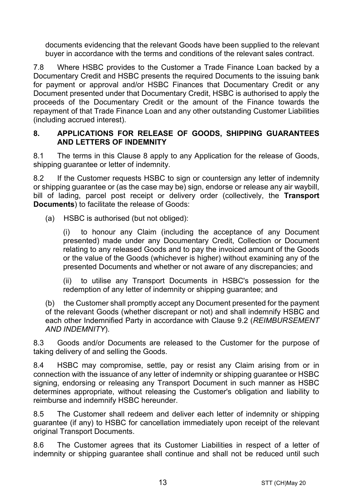documents evidencing that the relevant Goods have been supplied to the relevant buyer in accordance with the terms and conditions of the relevant sales contract.

7.8 Where HSBC provides to the Customer a Trade Finance Loan backed by a Documentary Credit and HSBC presents the required Documents to the issuing bank for payment or approval and/or HSBC Finances that Documentary Credit or any Document presented under that Documentary Credit, HSBC is authorised to apply the proceeds of the Documentary Credit or the amount of the Finance towards the repayment of that Trade Finance Loan and any other outstanding Customer Liabilities (including accrued interest).

#### **8. APPLICATIONS FOR RELEASE OF GOODS, SHIPPING GUARANTEES AND LETTERS OF INDEMNITY**

8.1 The terms in this Clause 8 apply to any Application for the release of Goods, shipping quarantee or letter of indemnity.

8.2 If the Customer requests HSBC to sign or countersign any letter of indemnity or shipping guarantee or (as the case may be) sign, endorse or release any air waybill, bill of lading, parcel post receipt or delivery order (collectively, the **Transport Documents**) to facilitate the release of Goods:

(a) HSBC is authorised (but not obliged):

(i) to honour any Claim (including the acceptance of any Document presented) made under any Documentary Credit, Collection or Document relating to any released Goods and to pay the invoiced amount of the Goods or the value of the Goods (whichever is higher) without examining any of the presented Documents and whether or not aware of any discrepancies; and

(ii) to utilise any Transport Documents in HSBC's possession for the redemption of any letter of indemnity or shipping guarantee; and

(b) the Customer shall promptly accept any Document presented for the payment of the relevant Goods (whether discrepant or not) and shall indemnify HSBC and each other Indemnified Party in accordance with Clause 9.2 (*REIMBURSEMENT AND INDEMNITY*).

8.3 Goods and/or Documents are released to the Customer for the purpose of taking delivery of and selling the Goods.

8.4 HSBC may compromise, settle, pay or resist any Claim arising from or in connection with the issuance of any letter of indemnity or shipping guarantee or HSBC signing, endorsing or releasing any Transport Document in such manner as HSBC determines appropriate, without releasing the Customer's obligation and liability to reimburse and indemnify HSBC hereunder.

8.5 The Customer shall redeem and deliver each letter of indemnity or shipping guarantee (if any) to HSBC for cancellation immediately upon receipt of the relevant original Transport Documents.

8.6 The Customer agrees that its Customer Liabilities in respect of a letter of indemnity or shipping guarantee shall continue and shall not be reduced until such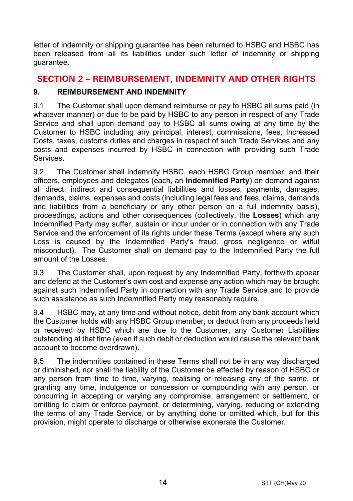letter of indemnity or shipping guarantee has been returned to HSBC and HSBC has been released from all its liabilities under such letter of indemnity or shipping guarantee.

# **SECTION 2 – REIMBURSEMENT, INDEMNITY AND OTHER RIGHTS**

# **9. REIMBURSEMENT AND INDEMNITY**

9.1 The Customer shall upon demand reimburse or pay to HSBC all sums paid (in whatever manner) or due to be paid by HSBC to any person in respect of any Trade Service and shall upon demand pay to HSBC all sums owing at any time by the Customer to HSBC including any principal, interest, commissions, fees, Increased Costs, taxes, customs duties and charges in respect of such Trade Services and any costs and expenses incurred by HSBC in connection with providing such Trade **Services** 

9.2 The Customer shall indemnify HSBC, each HSBC Group member, and their officers, employees and delegates (each, an **Indemnified Party**) on demand against all direct, indirect and consequential liabilities and losses, payments, damages, demands, claims, expenses and costs (including legal fees and fees, claims, demands and liabilities from a beneficiary or any other person on a full indemnity basis), proceedings, actions and other consequences (collectively, the **Losses**) which any Indemnified Party may suffer, sustain or incur under or in connection with any Trade Service and the enforcement of its rights under these Terms (except where any such Loss is caused by the Indemnified Party's fraud, gross negligence or wilful misconduct). The Customer shall on demand pay to the Indemnified Party the full amount of the Losses.

9.3 The Customer shall, upon request by any Indemnified Party, forthwith appear and defend at the Customer's own cost and expense any action which may be brought against such Indemnified Party in connection with any Trade Service and to provide such assistance as such Indemnified Party may reasonably require.

9.4 HSBC may, at any time and without notice, debit from any bank account which the Customer holds with any HSBC Group member, or deduct from any proceeds held or received by HSBC which are due to the Customer, any Customer Liabilities outstanding at that time (even if such debit or deduction would cause the relevant bank account to become overdrawn).

9.5 The indemnities contained in these Terms shall not be in any way discharged or diminished, nor shall the liability of the Customer be affected by reason of HSBC or any person from time to time, varying, realising or releasing any of the same, or granting any time, indulgence or concession or compounding with any person, or concurring in accepting or varying any compromise, arrangement or settlement, or omitting to claim or enforce payment, or determining, varying, reducing or extending the terms of any Trade Service, or by anything done or omitted which, but for this provision, might operate to discharge or otherwise exonerate the Customer.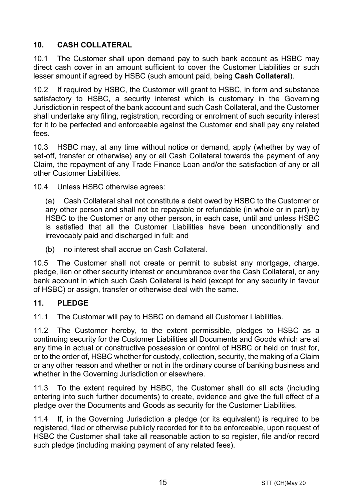# **10. CASH COLLATERAL**

10.1 The Customer shall upon demand pay to such bank account as HSBC may direct cash cover in an amount sufficient to cover the Customer Liabilities or such lesser amount if agreed by HSBC (such amount paid, being **Cash Collateral**).

10.2 If required by HSBC, the Customer will grant to HSBC, in form and substance satisfactory to HSBC, a security interest which is customary in the Governing Jurisdiction in respect of the bank account and such Cash Collateral, and the Customer shall undertake any filing, registration, recording or enrolment of such security interest for it to be perfected and enforceable against the Customer and shall pay any related fees.

10.3 HSBC may, at any time without notice or demand, apply (whether by way of set-off, transfer or otherwise) any or all Cash Collateral towards the payment of any Claim, the repayment of any Trade Finance Loan and/or the satisfaction of any or all other Customer Liabilities.

10.4 Unless HSBC otherwise agrees:

(a) Cash Collateral shall not constitute a debt owed by HSBC to the Customer or any other person and shall not be repayable or refundable (in whole or in part) by HSBC to the Customer or any other person, in each case, until and unless HSBC is satisfied that all the Customer Liabilities have been unconditionally and irrevocably paid and discharged in full; and

(b) no interest shall accrue on Cash Collateral.

10.5 The Customer shall not create or permit to subsist any mortgage, charge, pledge, lien or other security interest or encumbrance over the Cash Collateral, or any bank account in which such Cash Collateral is held (except for any security in favour of HSBC) or assign, transfer or otherwise deal with the same.

## **11. PLEDGE**

11.1 The Customer will pay to HSBC on demand all Customer Liabilities.

11.2 The Customer hereby, to the extent permissible, pledges to HSBC as a continuing security for the Customer Liabilities all Documents and Goods which are at any time in actual or constructive possession or control of HSBC or held on trust for, or to the order of, HSBC whether for custody, collection, security, the making of a Claim or any other reason and whether or not in the ordinary course of banking business and whether in the Governing Jurisdiction or elsewhere.

11.3 To the extent required by HSBC, the Customer shall do all acts (including entering into such further documents) to create, evidence and give the full effect of a pledge over the Documents and Goods as security for the Customer Liabilities.

11.4 If, in the Governing Jurisdiction a pledge (or its equivalent) is required to be registered, filed or otherwise publicly recorded for it to be enforceable, upon request of HSBC the Customer shall take all reasonable action to so register, file and/or record such pledge (including making payment of any related fees).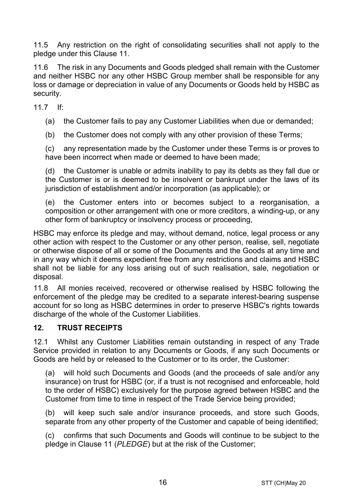11.5 Any restriction on the right of consolidating securities shall not apply to the pledge under this Clause 11.

11.6 The risk in any Documents and Goods pledged shall remain with the Customer and neither HSBC nor any other HSBC Group member shall be responsible for any loss or damage or depreciation in value of any Documents or Goods held by HSBC as security.

11.7 If:

(a) the Customer fails to pay any Customer Liabilities when due or demanded;

(b) the Customer does not comply with any other provision of these Terms;

(c) any representation made by the Customer under these Terms is or proves to have been incorrect when made or deemed to have been made;

(d) the Customer is unable or admits inability to pay its debts as they fall due or the Customer is or is deemed to be insolvent or bankrupt under the laws of its jurisdiction of establishment and/or incorporation (as applicable); or

(e) the Customer enters into or becomes subject to a reorganisation, a composition or other arrangement with one or more creditors, a winding-up, or any other form of bankruptcy or insolvency process or proceeding,

HSBC may enforce its pledge and may, without demand, notice, legal process or any other action with respect to the Customer or any other person, realise, sell, negotiate or otherwise dispose of all or some of the Documents and the Goods at any time and in any way which it deems expedient free from any restrictions and claims and HSBC shall not be liable for any loss arising out of such realisation, sale, negotiation or disposal.

11.8 All monies received, recovered or otherwise realised by HSBC following the enforcement of the pledge may be credited to a separate interest-bearing suspense account for so long as HSBC determines in order to preserve HSBC's rights towards discharge of the whole of the Customer Liabilities.

## **12. TRUST RECEIPTS**

12.1 Whilst any Customer Liabilities remain outstanding in respect of any Trade Service provided in relation to any Documents or Goods, if any such Documents or Goods are held by or released to the Customer or to its order, the Customer:

(a) will hold such Documents and Goods (and the proceeds of sale and/or any insurance) on trust for HSBC (or, if a trust is not recognised and enforceable, hold to the order of HSBC) exclusively for the purpose agreed between HSBC and the Customer from time to time in respect of the Trade Service being provided;

(b) will keep such sale and/or insurance proceeds, and store such Goods, separate from any other property of the Customer and capable of being identified;

(c) confirms that such Documents and Goods will continue to be subject to the pledge in Clause 11 (*PLEDGE*) but at the risk of the Customer;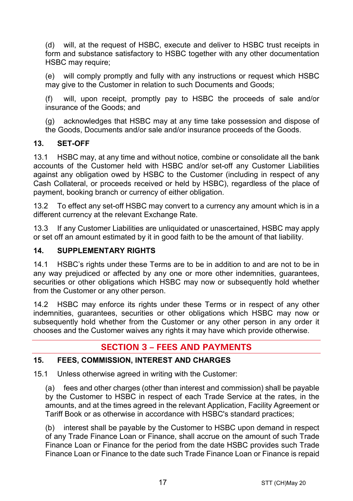(d) will, at the request of HSBC, execute and deliver to HSBC trust receipts in form and substance satisfactory to HSBC together with any other documentation HSBC may require:

(e) will comply promptly and fully with any instructions or request which HSBC may give to the Customer in relation to such Documents and Goods;

(f) will, upon receipt, promptly pay to HSBC the proceeds of sale and/or insurance of the Goods; and

(g) acknowledges that HSBC may at any time take possession and dispose of the Goods, Documents and/or sale and/or insurance proceeds of the Goods.

## **13. SET-OFF**

13.1 HSBC may, at any time and without notice, combine or consolidate all the bank accounts of the Customer held with HSBC and/or set-off any Customer Liabilities against any obligation owed by HSBC to the Customer (including in respect of any Cash Collateral, or proceeds received or held by HSBC), regardless of the place of payment, booking branch or currency of either obligation.

13.2 To effect any set-off HSBC may convert to a currency any amount which is in a different currency at the relevant Exchange Rate.

13.3 If any Customer Liabilities are unliquidated or unascertained, HSBC may apply or set off an amount estimated by it in good faith to be the amount of that liability.

## **14. SUPPLEMENTARY RIGHTS**

14.1 HSBC's rights under these Terms are to be in addition to and are not to be in any way prejudiced or affected by any one or more other indemnities, guarantees, securities or other obligations which HSBC may now or subsequently hold whether from the Customer or any other person.

14.2 HSBC may enforce its rights under these Terms or in respect of any other indemnities, guarantees, securities or other obligations which HSBC may now or subsequently hold whether from the Customer or any other person in any order it chooses and the Customer waives any rights it may have which provide otherwise.

# **SECTION 3 – FEES AND PAYMENTS**

## **15. FEES, COMMISSION, INTEREST AND CHARGES**

15.1 Unless otherwise agreed in writing with the Customer:

(a) fees and other charges (other than interest and commission) shall be payable by the Customer to HSBC in respect of each Trade Service at the rates, in the amounts, and at the times agreed in the relevant Application, Facility Agreement or Tariff Book or as otherwise in accordance with HSBC's standard practices;

(b) interest shall be payable by the Customer to HSBC upon demand in respect of any Trade Finance Loan or Finance, shall accrue on the amount of such Trade Finance Loan or Finance for the period from the date HSBC provides such Trade Finance Loan or Finance to the date such Trade Finance Loan or Finance is repaid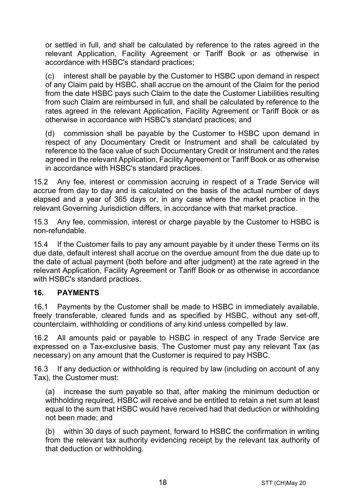or settled in full, and shall be calculated by reference to the rates agreed in the relevant Application, Facility Agreement or Tariff Book or as otherwise in accordance with HSBC's standard practices;

(c) interest shall be payable by the Customer to HSBC upon demand in respect of any Claim paid by HSBC, shall accrue on the amount of the Claim for the period from the date HSBC pays such Claim to the date the Customer Liabilities resulting from such Claim are reimbursed in full, and shall be calculated by reference to the rates agreed in the relevant Application, Facility Agreement or Tariff Book or as otherwise in accordance with HSBC's standard practices; and

(d) commission shall be payable by the Customer to HSBC upon demand in respect of any Documentary Credit or Instrument and shall be calculated by reference to the face value of such Documentary Credit or Instrument and the rates agreed in the relevant Application, Facility Agreement or Tariff Book or as otherwise in accordance with HSBC's standard practices.

15.2 Any fee, interest or commission accruing in respect of a Trade Service will accrue from day to day and is calculated on the basis of the actual number of days elapsed and a year of 365 days or, in any case where the market practice in the relevant Governing Jurisdiction differs, in accordance with that market practice.

15.3 Any fee, commission, interest or charge payable by the Customer to HSBC is non-refundable.

15.4 If the Customer fails to pay any amount payable by it under these Terms on its due date, default interest shall accrue on the overdue amount from the due date up to the date of actual payment (both before and after judgment) at the rate agreed in the relevant Application, Facility Agreement or Tariff Book or as otherwise in accordance with HSBC's standard practices.

## **16. PAYMENTS**

16.1 Payments by the Customer shall be made to HSBC in immediately available, freely transferable, cleared funds and as specified by HSBC, without any set-off, counterclaim, withholding or conditions of any kind unless compelled by law.

16.2 All amounts paid or payable to HSBC in respect of any Trade Service are expressed on a Tax-exclusive basis. The Customer must pay any relevant Tax (as necessary) on any amount that the Customer is required to pay HSBC.

16.3 If any deduction or withholding is required by law (including on account of any Tax), the Customer must:

(a) increase the sum payable so that, after making the minimum deduction or withholding required, HSBC will receive and be entitled to retain a net sum at least equal to the sum that HSBC would have received had that deduction or withholding not been made; and

(b) within 30 days of such payment, forward to HSBC the confirmation in writing from the relevant tax authority evidencing receipt by the relevant tax authority of that deduction or withholding.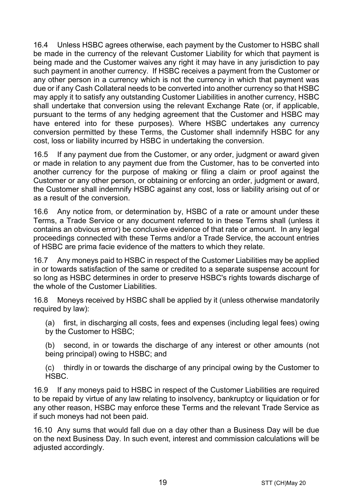16.4 Unless HSBC agrees otherwise, each payment by the Customer to HSBC shall be made in the currency of the relevant Customer Liability for which that payment is being made and the Customer waives any right it may have in any jurisdiction to pay such payment in another currency. If HSBC receives a payment from the Customer or any other person in a currency which is not the currency in which that payment was due or if any Cash Collateral needs to be converted into another currency so that HSBC may apply it to satisfy any outstanding Customer Liabilities in another currency, HSBC shall undertake that conversion using the relevant Exchange Rate (or, if applicable, pursuant to the terms of any hedging agreement that the Customer and HSBC may have entered into for these purposes). Where HSBC undertakes any currency conversion permitted by these Terms, the Customer shall indemnify HSBC for any cost, loss or liability incurred by HSBC in undertaking the conversion.

16.5 If any payment due from the Customer, or any order, judgment or award given or made in relation to any payment due from the Customer, has to be converted into another currency for the purpose of making or filing a claim or proof against the Customer or any other person, or obtaining or enforcing an order, judgment or award, the Customer shall indemnify HSBC against any cost, loss or liability arising out of or as a result of the conversion.

16.6 Any notice from, or determination by, HSBC of a rate or amount under these Terms, a Trade Service or any document referred to in these Terms shall (unless it contains an obvious error) be conclusive evidence of that rate or amount. In any legal proceedings connected with these Terms and/or a Trade Service, the account entries of HSBC are prima facie evidence of the matters to which they relate.

16.7 Any moneys paid to HSBC in respect of the Customer Liabilities may be applied in or towards satisfaction of the same or credited to a separate suspense account for so long as HSBC determines in order to preserve HSBC's rights towards discharge of the whole of the Customer Liabilities.

16.8 Moneys received by HSBC shall be applied by it (unless otherwise mandatorily required by law):

(a) first, in discharging all costs, fees and expenses (including legal fees) owing by the Customer to HSBC;

(b) second, in or towards the discharge of any interest or other amounts (not being principal) owing to HSBC; and

(c) thirdly in or towards the discharge of any principal owing by the Customer to HSBC.

16.9 If any moneys paid to HSBC in respect of the Customer Liabilities are required to be repaid by virtue of any law relating to insolvency, bankruptcy or liquidation or for any other reason, HSBC may enforce these Terms and the relevant Trade Service as if such moneys had not been paid.

16.10 Any sums that would fall due on a day other than a Business Day will be due on the next Business Day. In such event, interest and commission calculations will be adiusted accordingly.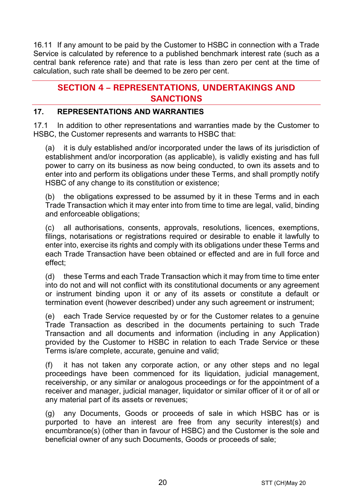16.11 If any amount to be paid by the Customer to HSBC in connection with a Trade Service is calculated by reference to a published benchmark interest rate (such as a central bank reference rate) and that rate is less than zero per cent at the time of calculation, such rate shall be deemed to be zero per cent.

# **SECTION 4 – REPRESENTATIONS, UNDERTAKINGS AND SANCTIONS**

## **17. REPRESENTATIONS AND WARRANTIES**

17.1 In addition to other representations and warranties made by the Customer to HSBC, the Customer represents and warrants to HSBC that:

(a) it is duly established and/or incorporated under the laws of its jurisdiction of establishment and/or incorporation (as applicable), is validly existing and has full power to carry on its business as now being conducted, to own its assets and to enter into and perform its obligations under these Terms, and shall promptly notify HSBC of any change to its constitution or existence;

(b) the obligations expressed to be assumed by it in these Terms and in each Trade Transaction which it may enter into from time to time are legal, valid, binding and enforceable obligations;

(c) all authorisations, consents, approvals, resolutions, licences, exemptions, filings, notarisations or registrations required or desirable to enable it lawfully to enter into, exercise its rights and comply with its obligations under these Terms and each Trade Transaction have been obtained or effected and are in full force and effect;

(d) these Terms and each Trade Transaction which it may from time to time enter into do not and will not conflict with its constitutional documents or any agreement or instrument binding upon it or any of its assets or constitute a default or termination event (however described) under any such agreement or instrument;

(e) each Trade Service requested by or for the Customer relates to a genuine Trade Transaction as described in the documents pertaining to such Trade Transaction and all documents and information (including in any Application) provided by the Customer to HSBC in relation to each Trade Service or these Terms is/are complete, accurate, genuine and valid;

(f) it has not taken any corporate action, or any other steps and no legal proceedings have been commenced for its liquidation, judicial management, receivership, or any similar or analogous proceedings or for the appointment of a receiver and manager, judicial manager, liquidator or similar officer of it or of all or any material part of its assets or revenues;

(g) any Documents, Goods or proceeds of sale in which HSBC has or is purported to have an interest are free from any security interest(s) and encumbrance(s) (other than in favour of HSBC) and the Customer is the sole and beneficial owner of any such Documents, Goods or proceeds of sale;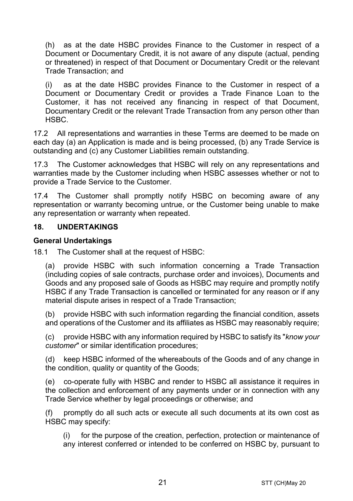(h) as at the date HSBC provides Finance to the Customer in respect of a Document or Documentary Credit, it is not aware of any dispute (actual, pending or threatened) in respect of that Document or Documentary Credit or the relevant Trade Transaction; and

(i) as at the date HSBC provides Finance to the Customer in respect of a Document or Documentary Credit or provides a Trade Finance Loan to the Customer, it has not received any financing in respect of that Document, Documentary Credit or the relevant Trade Transaction from any person other than HSBC.

17.2 All representations and warranties in these Terms are deemed to be made on each day (a) an Application is made and is being processed, (b) any Trade Service is outstanding and (c) any Customer Liabilities remain outstanding.

17.3 The Customer acknowledges that HSBC will rely on any representations and warranties made by the Customer including when HSBC assesses whether or not to provide a Trade Service to the Customer.

17.4 The Customer shall promptly notify HSBC on becoming aware of any representation or warranty becoming untrue, or the Customer being unable to make any representation or warranty when repeated.

#### **18. UNDERTAKINGS**

#### **General Undertakings**

18.1 The Customer shall at the request of HSBC:

(a) provide HSBC with such information concerning a Trade Transaction (including copies of sale contracts, purchase order and invoices), Documents and Goods and any proposed sale of Goods as HSBC may require and promptly notify HSBC if any Trade Transaction is cancelled or terminated for any reason or if any material dispute arises in respect of a Trade Transaction;

(b) provide HSBC with such information regarding the financial condition, assets and operations of the Customer and its affiliates as HSBC may reasonably require;

(c) provide HSBC with any information required by HSBC to satisfy its "*know your customer*" or similar identification procedures;

(d) keep HSBC informed of the whereabouts of the Goods and of any change in the condition, quality or quantity of the Goods;

(e) co-operate fully with HSBC and render to HSBC all assistance it requires in the collection and enforcement of any payments under or in connection with any Trade Service whether by legal proceedings or otherwise; and

(f) promptly do all such acts or execute all such documents at its own cost as HSBC may specify:

(i) for the purpose of the creation, perfection, protection or maintenance of any interest conferred or intended to be conferred on HSBC by, pursuant to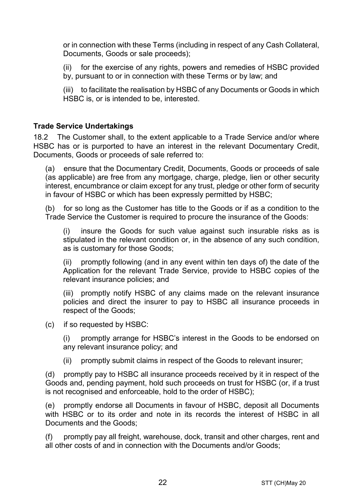or in connection with these Terms (including in respect of any Cash Collateral, Documents, Goods or sale proceeds);

(ii) for the exercise of any rights, powers and remedies of HSBC provided by, pursuant to or in connection with these Terms or by law; and

(iii) to facilitate the realisation by HSBC of any Documents or Goods in which HSBC is, or is intended to be, interested.

#### **Trade Service Undertakings**

18.2 The Customer shall, to the extent applicable to a Trade Service and/or where HSBC has or is purported to have an interest in the relevant Documentary Credit, Documents, Goods or proceeds of sale referred to:

(a) ensure that the Documentary Credit, Documents, Goods or proceeds of sale (as applicable) are free from any mortgage, charge, pledge, lien or other security interest, encumbrance or claim except for any trust, pledge or other form of security in favour of HSBC or which has been expressly permitted by HSBC;

(b) for so long as the Customer has title to the Goods or if as a condition to the Trade Service the Customer is required to procure the insurance of the Goods:

(i) insure the Goods for such value against such insurable risks as is stipulated in the relevant condition or, in the absence of any such condition, as is customary for those Goods;

(ii) promptly following (and in any event within ten days of) the date of the Application for the relevant Trade Service, provide to HSBC copies of the relevant insurance policies; and

(iii) promptly notify HSBC of any claims made on the relevant insurance policies and direct the insurer to pay to HSBC all insurance proceeds in respect of the Goods;

(c) if so requested by HSBC:

(i) promptly arrange for HSBC's interest in the Goods to be endorsed on any relevant insurance policy; and

(ii) promptly submit claims in respect of the Goods to relevant insurer;

(d) promptly pay to HSBC all insurance proceeds received by it in respect of the Goods and, pending payment, hold such proceeds on trust for HSBC (or, if a trust is not recognised and enforceable, hold to the order of HSBC);

(e) promptly endorse all Documents in favour of HSBC, deposit all Documents with HSBC or to its order and note in its records the interest of HSBC in all Documents and the Goods;

(f) promptly pay all freight, warehouse, dock, transit and other charges, rent and all other costs of and in connection with the Documents and/or Goods;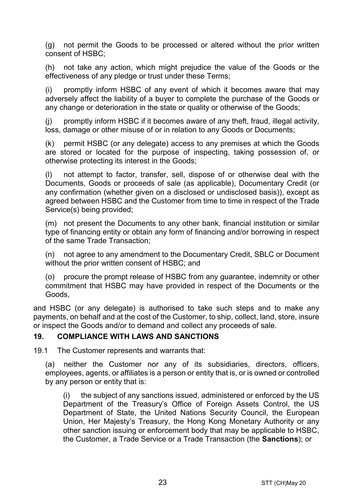(g) not permit the Goods to be processed or altered without the prior written consent of HSBC;

(h) not take any action, which might prejudice the value of the Goods or the effectiveness of any pledge or trust under these Terms;

(i) promptly inform HSBC of any event of which it becomes aware that may adversely affect the liability of a buyer to complete the purchase of the Goods or any change or deterioration in the state or quality or otherwise of the Goods;

(j) promptly inform HSBC if it becomes aware of any theft, fraud, illegal activity, loss, damage or other misuse of or in relation to any Goods or Documents;

(k) permit HSBC (or any delegate) access to any premises at which the Goods are stored or located for the purpose of inspecting, taking possession of, or otherwise protecting its interest in the Goods;

(l) not attempt to factor, transfer, sell, dispose of or otherwise deal with the Documents, Goods or proceeds of sale (as applicable), Documentary Credit (or any confirmation (whether given on a disclosed or undisclosed basis)), except as agreed between HSBC and the Customer from time to time in respect of the Trade Service(s) being provided;

(m) not present the Documents to any other bank, financial institution or similar type of financing entity or obtain any form of financing and/or borrowing in respect of the same Trade Transaction;

(n) not agree to any amendment to the Documentary Credit, SBLC or Document without the prior written consent of HSBC; and

(o) procure the prompt release of HSBC from any guarantee, indemnity or other commitment that HSBC may have provided in respect of the Documents or the Goods,

and HSBC (or any delegate) is authorised to take such steps and to make any payments, on behalf and at the cost of the Customer, to ship, collect, land, store, insure or inspect the Goods and/or to demand and collect any proceeds of sale.

#### **19. COMPLIANCE WITH LAWS AND SANCTIONS**

19.1 The Customer represents and warrants that:

(a) neither the Customer nor any of its subsidiaries, directors, officers, employees, agents, or affiliates is a person or entity that is, or is owned or controlled by any person or entity that is:

(i) the subject of any sanctions issued, administered or enforced by the US Department of the Treasury's Office of Foreign Assets Control, the US Department of State, the United Nations Security Council, the European Union, Her Majesty's Treasury, the Hong Kong Monetary Authority or any other sanction issuing or enforcement body that may be applicable to HSBC, the Customer, a Trade Service or a Trade Transaction (the **Sanctions**); or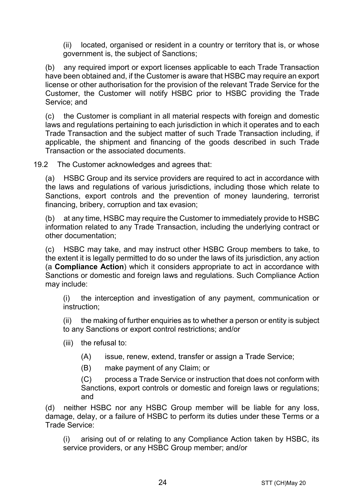(ii) located, organised or resident in a country or territory that is, or whose government is, the subject of Sanctions;

(b) any required import or export licenses applicable to each Trade Transaction have been obtained and, if the Customer is aware that HSBC may require an export license or other authorisation for the provision of the relevant Trade Service for the Customer, the Customer will notify HSBC prior to HSBC providing the Trade Service; and

(c) the Customer is compliant in all material respects with foreign and domestic laws and regulations pertaining to each jurisdiction in which it operates and to each Trade Transaction and the subject matter of such Trade Transaction including, if applicable, the shipment and financing of the goods described in such Trade Transaction or the associated documents.

19.2 The Customer acknowledges and agrees that:

(a) HSBC Group and its service providers are required to act in accordance with the laws and regulations of various jurisdictions, including those which relate to Sanctions, export controls and the prevention of money laundering, terrorist financing, bribery, corruption and tax evasion;

(b) at any time, HSBC may require the Customer to immediately provide to HSBC information related to any Trade Transaction, including the underlying contract or other documentation;

(c) HSBC may take, and may instruct other HSBC Group members to take, to the extent it is legally permitted to do so under the laws of its jurisdiction, any action (a **Compliance Action**) which it considers appropriate to act in accordance with Sanctions or domestic and foreign laws and regulations. Such Compliance Action may include:

(i) the interception and investigation of any payment, communication or instruction;

(ii) the making of further enquiries as to whether a person or entity is subject to any Sanctions or export control restrictions; and/or

- (iii) the refusal to:
	- (A) issue, renew, extend, transfer or assign a Trade Service;
	- (B) make payment of any Claim; or

(C) process a Trade Service or instruction that does not conform with Sanctions, export controls or domestic and foreign laws or regulations; and

(d) neither HSBC nor any HSBC Group member will be liable for any loss, damage, delay, or a failure of HSBC to perform its duties under these Terms or a Trade Service:

(i) arising out of or relating to any Compliance Action taken by HSBC, its service providers, or any HSBC Group member; and/or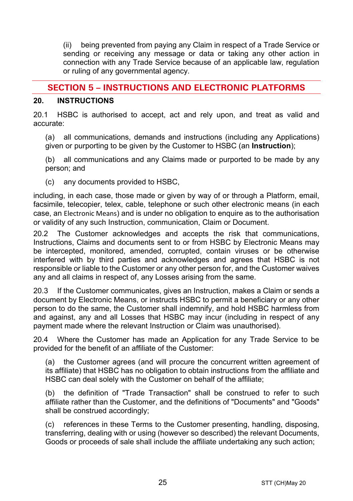(ii) being prevented from paying any Claim in respect of a Trade Service or sending or receiving any message or data or taking any other action in connection with any Trade Service because of an applicable law, regulation or ruling of any governmental agency.

# **SECTION 5 – INSTRUCTIONS AND ELECTRONIC PLATFORMS**

#### **20. INSTRUCTIONS**

20.1 HSBC is authorised to accept, act and rely upon, and treat as valid and accurate:

(a) all communications, demands and instructions (including any Applications) given or purporting to be given by the Customer to HSBC (an **Instruction**);

(b) all communications and any Claims made or purported to be made by any person; and

(c) any documents provided to HSBC,

including, in each case, those made or given by way of or through a Platform, email, facsimile, telecopier, telex, cable, telephone or such other electronic means (in each case, an Electronic Means) and is under no obligation to enquire as to the authorisation or validity of any such Instruction, communication, Claim or Document.

20.2 The Customer acknowledges and accepts the risk that communications, Instructions, Claims and documents sent to or from HSBC by Electronic Means may be intercepted, monitored, amended, corrupted, contain viruses or be otherwise interfered with by third parties and acknowledges and agrees that HSBC is not responsible or liable to the Customer or any other person for, and the Customer waives any and all claims in respect of, any Losses arising from the same.

20.3 If the Customer communicates, gives an Instruction, makes a Claim or sends a document by Electronic Means, or instructs HSBC to permit a beneficiary or any other person to do the same, the Customer shall indemnify, and hold HSBC harmless from and against, any and all Losses that HSBC may incur (including in respect of any payment made where the relevant Instruction or Claim was unauthorised).

20.4 Where the Customer has made an Application for any Trade Service to be provided for the benefit of an affiliate of the Customer:

(a) the Customer agrees (and will procure the concurrent written agreement of its affiliate) that HSBC has no obligation to obtain instructions from the affiliate and HSBC can deal solely with the Customer on behalf of the affiliate;

(b) the definition of "Trade Transaction" shall be construed to refer to such affiliate rather than the Customer, and the definitions of "Documents" and "Goods" shall be construed accordingly;

(c) references in these Terms to the Customer presenting, handling, disposing, transferring, dealing with or using (however so described) the relevant Documents, Goods or proceeds of sale shall include the affiliate undertaking any such action;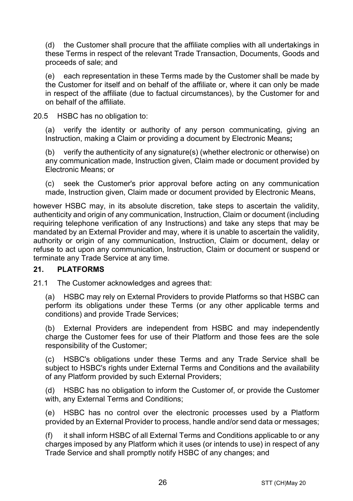(d) the Customer shall procure that the affiliate complies with all undertakings in these Terms in respect of the relevant Trade Transaction, Documents, Goods and proceeds of sale; and

(e) each representation in these Terms made by the Customer shall be made by the Customer for itself and on behalf of the affiliate or, where it can only be made in respect of the affiliate (due to factual circumstances), by the Customer for and on behalf of the affiliate.

20.5 HSBC has no obligation to:

(a) verify the identity or authority of any person communicating, giving an Instruction, making a Claim or providing a document by Electronic Means**;**

(b) verify the authenticity of any signature(s) (whether electronic or otherwise) on any communication made, Instruction given, Claim made or document provided by Electronic Means; or

(c) seek the Customer's prior approval before acting on any communication made, Instruction given, Claim made or document provided by Electronic Means,

however HSBC may, in its absolute discretion, take steps to ascertain the validity, authenticity and origin of any communication, Instruction, Claim or document (including requiring telephone verification of any Instructions) and take any steps that may be mandated by an External Provider and may, where it is unable to ascertain the validity, authority or origin of any communication, Instruction, Claim or document, delay or refuse to act upon any communication, Instruction, Claim or document or suspend or terminate any Trade Service at any time.

## **21. PLATFORMS**

21.1 The Customer acknowledges and agrees that:

(a) HSBC may rely on External Providers to provide Platforms so that HSBC can perform its obligations under these Terms (or any other applicable terms and conditions) and provide Trade Services;

(b) External Providers are independent from HSBC and may independently charge the Customer fees for use of their Platform and those fees are the sole responsibility of the Customer;

(c) HSBC's obligations under these Terms and any Trade Service shall be subject to HSBC's rights under External Terms and Conditions and the availability of any Platform provided by such External Providers;

(d) HSBC has no obligation to inform the Customer of, or provide the Customer with, any External Terms and Conditions;

(e) HSBC has no control over the electronic processes used by a Platform provided by an External Provider to process, handle and/or send data or messages;

(f) it shall inform HSBC of all External Terms and Conditions applicable to or any charges imposed by any Platform which it uses (or intends to use) in respect of any Trade Service and shall promptly notify HSBC of any changes; and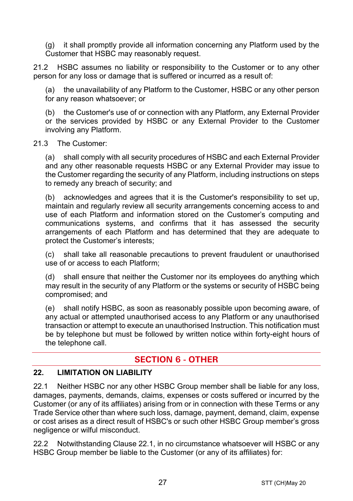(g) it shall promptly provide all information concerning any Platform used by the Customer that HSBC may reasonably request.

21.2 HSBC assumes no liability or responsibility to the Customer or to any other person for any loss or damage that is suffered or incurred as a result of:

(a) the unavailability of any Platform to the Customer, HSBC or any other person for any reason whatsoever; or

(b) the Customer's use of or connection with any Platform, any External Provider or the services provided by HSBC or any External Provider to the Customer involving any Platform.

#### 21.3 The Customer:

(a) shall comply with all security procedures of HSBC and each External Provider and any other reasonable requests HSBC or any External Provider may issue to the Customer regarding the security of any Platform, including instructions on steps to remedy any breach of security; and

(b) acknowledges and agrees that it is the Customer's responsibility to set up, maintain and regularly review all security arrangements concerning access to and use of each Platform and information stored on the Customer's computing and communications systems, and confirms that it has assessed the security arrangements of each Platform and has determined that they are adequate to protect the Customer's interests;

(c) shall take all reasonable precautions to prevent fraudulent or unauthorised use of or access to each Platform;

(d) shall ensure that neither the Customer nor its employees do anything which may result in the security of any Platform or the systems or security of HSBC being compromised; and

(e) shall notify HSBC, as soon as reasonably possible upon becoming aware, of any actual or attempted unauthorised access to any Platform or any unauthorised transaction or attempt to execute an unauthorised Instruction. This notification must be by telephone but must be followed by written notice within forty-eight hours of the telephone call.

# **SECTION 6 - OTHER**

## **22. LIMITATION ON LIABILITY**

22.1 Neither HSBC nor any other HSBC Group member shall be liable for any loss, damages, payments, demands, claims, expenses or costs suffered or incurred by the Customer (or any of its affiliates) arising from or in connection with these Terms or any Trade Service other than where such loss, damage, payment, demand, claim, expense or cost arises as a direct result of HSBC's or such other HSBC Group member's gross negligence or wilful misconduct.

22.2 Notwithstanding Clause 22.1, in no circumstance whatsoever will HSBC or any HSBC Group member be liable to the Customer (or any of its affiliates) for: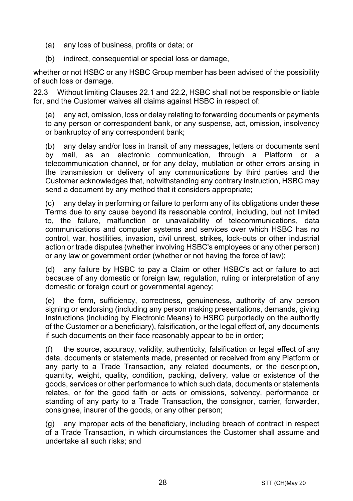- (a) any loss of business, profits or data; or
- (b) indirect, consequential or special loss or damage,

whether or not HSBC or any HSBC Group member has been advised of the possibility of such loss or damage.

22.3 Without limiting Clauses 22.1 and 22.2, HSBC shall not be responsible or liable for, and the Customer waives all claims against HSBC in respect of:

(a) any act, omission, loss or delay relating to forwarding documents or payments to any person or correspondent bank, or any suspense, act, omission, insolvency or bankruptcy of any correspondent bank;

(b) any delay and/or loss in transit of any messages, letters or documents sent by mail, as an electronic communication, through a Platform or a telecommunication channel, or for any delay, mutilation or other errors arising in the transmission or delivery of any communications by third parties and the Customer acknowledges that, notwithstanding any contrary instruction, HSBC may send a document by any method that it considers appropriate;

(c) any delay in performing or failure to perform any of its obligations under these Terms due to any cause beyond its reasonable control, including, but not limited to, the failure, malfunction or unavailability of telecommunications, data communications and computer systems and services over which HSBC has no control, war, hostilities, invasion, civil unrest, strikes, lock-outs or other industrial action or trade disputes (whether involving HSBC's employees or any other person) or any law or government order (whether or not having the force of law);

(d) any failure by HSBC to pay a Claim or other HSBC's act or failure to act because of any domestic or foreign law, regulation, ruling or interpretation of any domestic or foreign court or governmental agency;

(e) the form, sufficiency, correctness, genuineness, authority of any person signing or endorsing (including any person making presentations, demands, giving Instructions (including by Electronic Means) to HSBC purportedly on the authority of the Customer or a beneficiary), falsification, or the legal effect of, any documents if such documents on their face reasonably appear to be in order;

(f) the source, accuracy, validity, authenticity, falsification or legal effect of any data, documents or statements made, presented or received from any Platform or any party to a Trade Transaction, any related documents, or the description, quantity, weight, quality, condition, packing, delivery, value or existence of the goods, services or other performance to which such data, documents or statements relates, or for the good faith or acts or omissions, solvency, performance or standing of any party to a Trade Transaction, the consignor, carrier, forwarder, consignee, insurer of the goods, or any other person;

(g) any improper acts of the beneficiary, including breach of contract in respect of a Trade Transaction, in which circumstances the Customer shall assume and undertake all such risks; and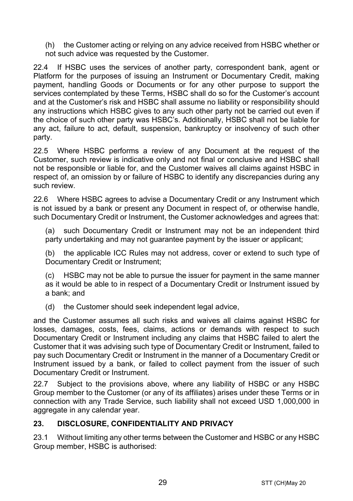(h) the Customer acting or relying on any advice received from HSBC whether or not such advice was requested by the Customer.

22.4 If HSBC uses the services of another party, correspondent bank, agent or Platform for the purposes of issuing an Instrument or Documentary Credit, making payment, handling Goods or Documents or for any other purpose to support the services contemplated by these Terms, HSBC shall do so for the Customer's account and at the Customer's risk and HSBC shall assume no liability or responsibility should any instructions which HSBC gives to any such other party not be carried out even if the choice of such other party was HSBC's. Additionally, HSBC shall not be liable for any act, failure to act, default, suspension, bankruptcy or insolvency of such other party.

22.5 Where HSBC performs a review of any Document at the request of the Customer, such review is indicative only and not final or conclusive and HSBC shall not be responsible or liable for, and the Customer waives all claims against HSBC in respect of, an omission by or failure of HSBC to identify any discrepancies during any such review.

22.6 Where HSBC agrees to advise a Documentary Credit or any Instrument which is not issued by a bank or present any Document in respect of, or otherwise handle, such Documentary Credit or Instrument, the Customer acknowledges and agrees that:

(a) such Documentary Credit or Instrument may not be an independent third party undertaking and may not quarantee payment by the issuer or applicant;

(b) the applicable ICC Rules may not address, cover or extend to such type of Documentary Credit or Instrument;

(c) HSBC may not be able to pursue the issuer for payment in the same manner as it would be able to in respect of a Documentary Credit or Instrument issued by a bank; and

(d) the Customer should seek independent legal advice,

and the Customer assumes all such risks and waives all claims against HSBC for losses, damages, costs, fees, claims, actions or demands with respect to such Documentary Credit or Instrument including any claims that HSBC failed to alert the Customer that it was advising such type of Documentary Credit or Instrument, failed to pay such Documentary Credit or Instrument in the manner of a Documentary Credit or Instrument issued by a bank, or failed to collect payment from the issuer of such Documentary Credit or Instrument.

22.7 Subject to the provisions above, where any liability of HSBC or any HSBC Group member to the Customer (or any of its affiliates) arises under these Terms or in connection with any Trade Service, such liability shall not exceed USD 1,000,000 in aggregate in any calendar year.

## **23. DISCLOSURE, CONFIDENTIALITY AND PRIVACY**

23.1 Without limiting any other terms between the Customer and HSBC or any HSBC Group member, HSBC is authorised: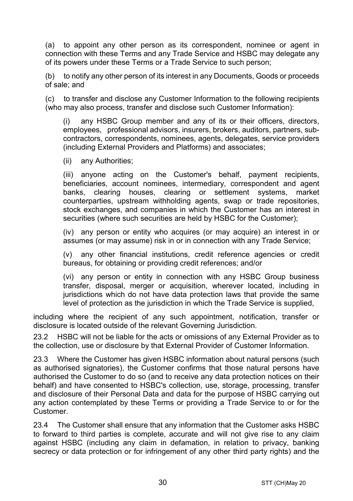(a) to appoint any other person as its correspondent, nominee or agent in connection with these Terms and any Trade Service and HSBC may delegate any of its powers under these Terms or a Trade Service to such person;

(b) to notify any other person of its interest in any Documents, Goods or proceeds of sale; and

(c) to transfer and disclose any Customer Information to the following recipients (who may also process, transfer and disclose such Customer Information):

(i) any HSBC Group member and any of its or their officers, directors, employees, professional advisors, insurers, brokers, auditors, partners, subcontractors, correspondents, nominees, agents, delegates, service providers (including External Providers and Platforms) and associates;

(ii) any Authorities;

(iii) anyone acting on the Customer's behalf, payment recipients, beneficiaries, account nominees, intermediary, correspondent and agent banks, clearing houses, clearing or settlement systems, market counterparties, upstream withholding agents, swap or trade repositories, stock exchanges, and companies in which the Customer has an interest in securities (where such securities are held by HSBC for the Customer);

(iv) any person or entity who acquires (or may acquire) an interest in or assumes (or may assume) risk in or in connection with any Trade Service;

(v) any other financial institutions, credit reference agencies or credit bureaus, for obtaining or providing credit references; and/or

(vi) any person or entity in connection with any HSBC Group business transfer, disposal, merger or acquisition, wherever located, including in jurisdictions which do not have data protection laws that provide the same level of protection as the jurisdiction in which the Trade Service is supplied,

including where the recipient of any such appointment, notification, transfer or disclosure is located outside of the relevant Governing Jurisdiction.

23.2 HSBC will not be liable for the acts or omissions of any External Provider as to the collection, use or disclosure by that External Provider of Customer Information.

23.3 Where the Customer has given HSBC information about natural persons (such as authorised signatories), the Customer confirms that those natural persons have authorised the Customer to do so (and to receive any data protection notices on their behalf) and have consented to HSBC's collection, use, storage, processing, transfer and disclosure of their Personal Data and data for the purpose of HSBC carrying out any action contemplated by these Terms or providing a Trade Service to or for the Customer.

23.4 The Customer shall ensure that any information that the Customer asks HSBC to forward to third parties is complete, accurate and will not give rise to any claim against HSBC (including any claim in defamation, in relation to privacy, banking secrecy or data protection or for infringement of any other third party rights) and the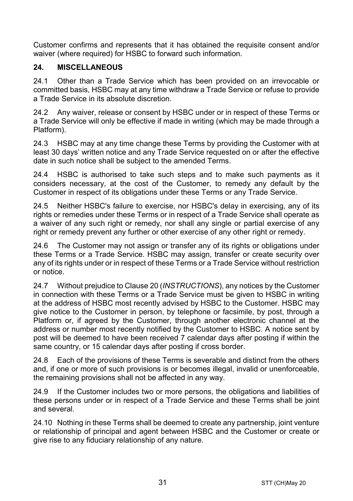Customer confirms and represents that it has obtained the requisite consent and/or waiver (where required) for HSBC to forward such information.

## **24. MISCELLANEOUS**

24.1 Other than a Trade Service which has been provided on an irrevocable or committed basis, HSBC may at any time withdraw a Trade Service or refuse to provide a Trade Service in its absolute discretion.

24.2 Any waiver, release or consent by HSBC under or in respect of these Terms or a Trade Service will only be effective if made in writing (which may be made through a Platform).

24.3 HSBC may at any time change these Terms by providing the Customer with at least 30 days' written notice and any Trade Service requested on or after the effective date in such notice shall be subject to the amended Terms.

24.4 HSBC is authorised to take such steps and to make such payments as it considers necessary, at the cost of the Customer, to remedy any default by the Customer in respect of its obligations under these Terms or any Trade Service.

24.5 Neither HSBC's failure to exercise, nor HSBC's delay in exercising, any of its rights or remedies under these Terms or in respect of a Trade Service shall operate as a waiver of any such right or remedy, nor shall any single or partial exercise of any right or remedy prevent any further or other exercise of any other right or remedy.

24.6 The Customer may not assign or transfer any of its rights or obligations under these Terms or a Trade Service. HSBC may assign, transfer or create security over any of its rights under or in respect of these Terms or a Trade Service without restriction or notice.

24.7 Without prejudice to Clause 20 (*INSTRUCTIONS*), any notices by the Customer in connection with these Terms or a Trade Service must be given to HSBC in writing at the address of HSBC most recently advised by HSBC to the Customer. HSBC may give notice to the Customer in person, by telephone or facsimile, by post, through a Platform or, if agreed by the Customer, through another electronic channel at the address or number most recently notified by the Customer to HSBC. A notice sent by post will be deemed to have been received 7 calendar days after posting if within the same country, or 15 calendar days after posting if cross border.

24.8 Each of the provisions of these Terms is severable and distinct from the others and, if one or more of such provisions is or becomes illegal, invalid or unenforceable, the remaining provisions shall not be affected in any way.

24.9 If the Customer includes two or more persons, the obligations and liabilities of these persons under or in respect of a Trade Service and these Terms shall be joint and several.

24.10 Nothing in these Terms shall be deemed to create any partnership, joint venture or relationship of principal and agent between HSBC and the Customer or create or give rise to any fiduciary relationship of any nature.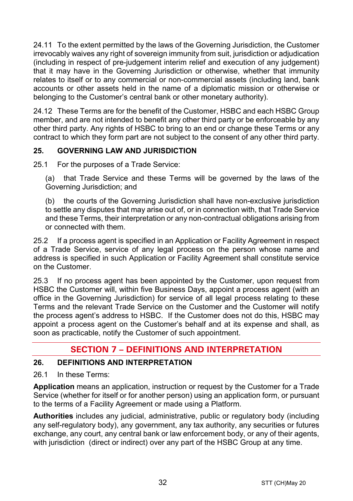24.11 To the extent permitted by the laws of the Governing Jurisdiction, the Customer irrevocably waives any right of sovereign immunity from suit, jurisdiction or adjudication (including in respect of pre-judgement interim relief and execution of any judgement) that it may have in the Governing Jurisdiction or otherwise, whether that immunity relates to itself or to any commercial or non-commercial assets (including land, bank accounts or other assets held in the name of a diplomatic mission or otherwise or belonging to the Customer's central bank or other monetary authority).

24.12 These Terms are for the benefit of the Customer, HSBC and each HSBC Group member, and are not intended to benefit any other third party or be enforceable by any other third party. Any rights of HSBC to bring to an end or change these Terms or any contract to which they form part are not subject to the consent of any other third party.

# **25. GOVERNING LAW AND JURISDICTION**

25.1 For the purposes of a Trade Service:

(a) that Trade Service and these Terms will be governed by the laws of the Governing Jurisdiction; and

(b) the courts of the Governing Jurisdiction shall have non-exclusive jurisdiction to settle any disputes that may arise out of, or in connection with, that Trade Service and these Terms, their interpretation or any non-contractual obligations arising from or connected with them.

25.2 If a process agent is specified in an Application or Facility Agreement in respect of a Trade Service, service of any legal process on the person whose name and address is specified in such Application or Facility Agreement shall constitute service on the Customer.

25.3 If no process agent has been appointed by the Customer, upon request from HSBC the Customer will, within five Business Days, appoint a process agent (with an office in the Governing Jurisdiction) for service of all legal process relating to these Terms and the relevant Trade Service on the Customer and the Customer will notify the process agent's address to HSBC. If the Customer does not do this, HSBC may appoint a process agent on the Customer's behalf and at its expense and shall, as soon as practicable, notify the Customer of such appointment.

# **SECTION 7 – DEFINITIONS AND INTERPRETATION**

## **26. DEFINITIONS AND INTERPRETATION**

26.1 In these Terms:

**Application** means an application, instruction or request by the Customer for a Trade Service (whether for itself or for another person) using an application form, or pursuant to the terms of a Facility Agreement or made using a Platform.

**Authorities** includes any judicial, administrative, public or regulatory body (including any self-regulatory body), any government, any tax authority, any securities or futures exchange, any court, any central bank or law enforcement body, or any of their agents, with jurisdiction (direct or indirect) over any part of the HSBC Group at any time.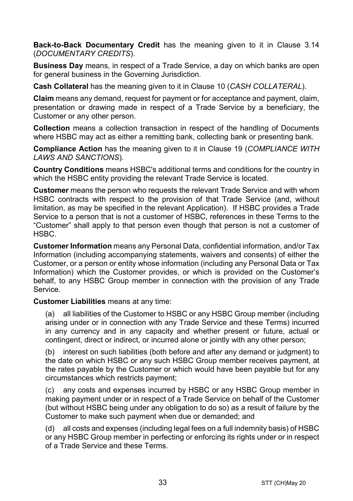**Back-to-Back Documentary Credit** has the meaning given to it in Clause 3.14 (*DOCUMENTARY CREDITS*).

**Business Day** means, in respect of a Trade Service, a day on which banks are open for general business in the Governing Jurisdiction.

**Cash Collateral** has the meaning given to it in Clause 10 (*CASH COLLATERAL*).

**Claim** means any demand, request for payment or for acceptance and payment, claim, presentation or drawing made in respect of a Trade Service by a beneficiary, the Customer or any other person.

**Collection** means a collection transaction in respect of the handling of Documents where HSBC may act as either a remitting bank, collecting bank or presenting bank.

**Compliance Action** has the meaning given to it in Clause 19 (*COMPLIANCE WITH LAWS AND SANCTIONS*).

**Country Conditions** means HSBC's additional terms and conditions for the country in which the HSBC entity providing the relevant Trade Service is located.

**Customer** means the person who requests the relevant Trade Service and with whom HSBC contracts with respect to the provision of that Trade Service (and, without limitation, as may be specified in the relevant Application). If HSBC provides a Trade Service to a person that is not a customer of HSBC, references in these Terms to the "Customer" shall apply to that person even though that person is not a customer of HSBC.

**Customer Information** means any Personal Data, confidential information, and/or Tax Information (including accompanying statements, waivers and consents) of either the Customer, or a person or entity whose information (including any Personal Data or Tax Information) which the Customer provides, or which is provided on the Customer's behalf, to any HSBC Group member in connection with the provision of any Trade Service.

**Customer Liabilities** means at any time:

(a) all liabilities of the Customer to HSBC or any HSBC Group member (including arising under or in connection with any Trade Service and these Terms) incurred in any currency and in any capacity and whether present or future, actual or contingent, direct or indirect, or incurred alone or jointly with any other person;

(b) interest on such liabilities (both before and after any demand or judgment) to the date on which HSBC or any such HSBC Group member receives payment, at the rates payable by the Customer or which would have been payable but for any circumstances which restricts payment;

(c) any costs and expenses incurred by HSBC or any HSBC Group member in making payment under or in respect of a Trade Service on behalf of the Customer (but without HSBC being under any obligation to do so) as a result of failure by the Customer to make such payment when due or demanded; and

(d) all costs and expenses (including legal fees on a full indemnity basis) of HSBC or any HSBC Group member in perfecting or enforcing its rights under or in respect of a Trade Service and these Terms.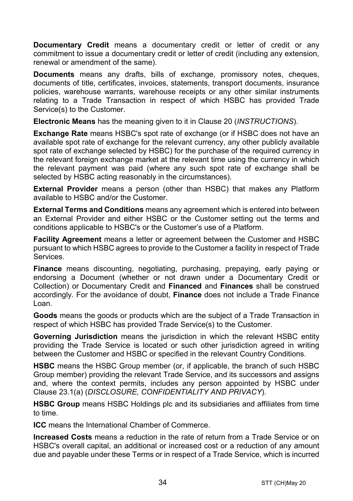**Documentary Credit** means a documentary credit or letter of credit or any commitment to issue a documentary credit or letter of credit (including any extension. renewal or amendment of the same).

**Documents** means any drafts, bills of exchange, promissory notes, cheques, documents of title, certificates, invoices, statements, transport documents, insurance policies, warehouse warrants, warehouse receipts or any other similar instruments relating to a Trade Transaction in respect of which HSBC has provided Trade Service(s) to the Customer.

**Electronic Means** has the meaning given to it in Clause 20 (*INSTRUCTIONS*).

**Exchange Rate** means HSBC's spot rate of exchange (or if HSBC does not have an available spot rate of exchange for the relevant currency, any other publicly available spot rate of exchange selected by HSBC) for the purchase of the required currency in the relevant foreign exchange market at the relevant time using the currency in which the relevant payment was paid (where any such spot rate of exchange shall be selected by HSBC acting reasonably in the circumstances).

**External Provider** means a person (other than HSBC) that makes any Platform available to HSBC and/or the Customer.

**External Terms and Conditions** means any agreement which is entered into between an External Provider and either HSBC or the Customer setting out the terms and conditions applicable to HSBC's or the Customer's use of a Platform.

**Facility Agreement** means a letter or agreement between the Customer and HSBC pursuant to which HSBC agrees to provide to the Customer a facility in respect of Trade Services.

**Finance** means discounting, negotiating, purchasing, prepaying, early paying or endorsing a Document (whether or not drawn under a Documentary Credit or Collection) or Documentary Credit and **Financed** and **Finances** shall be construed accordingly. For the avoidance of doubt, **Finance** does not include a Trade Finance Loan.

**Goods** means the goods or products which are the subject of a Trade Transaction in respect of which HSBC has provided Trade Service(s) to the Customer.

**Governing Jurisdiction** means the jurisdiction in which the relevant HSBC entity providing the Trade Service is located or such other jurisdiction agreed in writing between the Customer and HSBC or specified in the relevant Country Conditions.

**HSBC** means the HSBC Group member (or, if applicable, the branch of such HSBC Group member) providing the relevant Trade Service, and its successors and assigns and, where the context permits, includes any person appointed by HSBC under Clause 23.1(a) (*DISCLOSURE, CONFIDENTIALITY AND PRIVACY*).

**HSBC Group** means HSBC Holdings plc and its subsidiaries and affiliates from time to time.

**ICC** means the International Chamber of Commerce.

**Increased Costs** means a reduction in the rate of return from a Trade Service or on HSBC's overall capital, an additional or increased cost or a reduction of any amount due and payable under these Terms or in respect of a Trade Service, which is incurred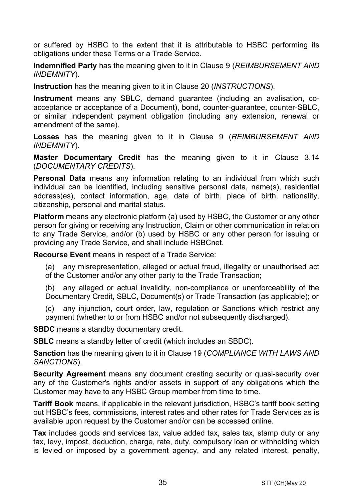or suffered by HSBC to the extent that it is attributable to HSBC performing its obligations under these Terms or a Trade Service.

**Indemnified Party** has the meaning given to it in Clause 9 (*REIMBURSEMENT AND INDEMNITY*).

**Instruction** has the meaning given to it in Clause 20 (*INSTRUCTIONS*).

**Instrument** means any SBLC, demand guarantee (including an avalisation, coacceptance or acceptance of a Document), bond, counter-guarantee, counter-SBLC, or similar independent payment obligation (including any extension, renewal or amendment of the same).

**Losses** has the meaning given to it in Clause 9 (*REIMBURSEMENT AND INDEMNITY*).

**Master Documentary Credit** has the meaning given to it in Clause 3.14 (*DOCUMENTARY CREDITS*).

**Personal Data** means any information relating to an individual from which such individual can be identified, including sensitive personal data, name(s), residential address(es), contact information, age, date of birth, place of birth, nationality, citizenship, personal and marital status.

**Platform** means any electronic platform (a) used by HSBC, the Customer or any other person for giving or receiving any Instruction, Claim or other communication in relation to any Trade Service, and/or (b) used by HSBC or any other person for issuing or providing any Trade Service, and shall include HSBCnet.

**Recourse Event** means in respect of a Trade Service:

(a) any misrepresentation, alleged or actual fraud, illegality or unauthorised act of the Customer and/or any other party to the Trade Transaction;

(b) any alleged or actual invalidity, non-compliance or unenforceability of the Documentary Credit, SBLC, Document(s) or Trade Transaction (as applicable); or

(c) any injunction, court order, law, regulation or Sanctions which restrict any payment (whether to or from HSBC and/or not subsequently discharged).

**SBDC** means a standby documentary credit.

**SBLC** means a standby letter of credit (which includes an SBDC).

**Sanction** has the meaning given to it in Clause 19 (*COMPLIANCE WITH LAWS AND SANCTIONS*).

**Security Agreement** means any document creating security or quasi-security over any of the Customer's rights and/or assets in support of any obligations which the Customer may have to any HSBC Group member from time to time.

**Tariff Book** means, if applicable in the relevant jurisdiction, HSBC's tariff book setting out HSBC's fees, commissions, interest rates and other rates for Trade Services as is available upon request by the Customer and/or can be accessed online.

**Tax** includes goods and services tax, value added tax, sales tax, stamp duty or any tax, levy, impost, deduction, charge, rate, duty, compulsory loan or withholding which is levied or imposed by a government agency, and any related interest, penalty,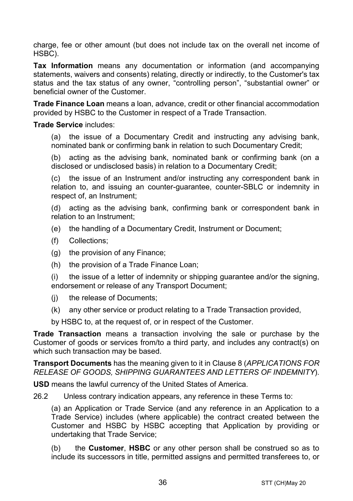charge, fee or other amount (but does not include tax on the overall net income of HSBC).

**Tax Information** means any documentation or information (and accompanying statements, waivers and consents) relating, directly or indirectly, to the Customer's tax status and the tax status of any owner, "controlling person", "substantial owner" or beneficial owner of the Customer.

**Trade Finance Loan** means a loan, advance, credit or other financial accommodation provided by HSBC to the Customer in respect of a Trade Transaction.

#### **Trade Service** includes:

(a) the issue of a Documentary Credit and instructing any advising bank, nominated bank or confirming bank in relation to such Documentary Credit;

(b) acting as the advising bank, nominated bank or confirming bank (on a disclosed or undisclosed basis) in relation to a Documentary Credit;

(c) the issue of an Instrument and/or instructing any correspondent bank in relation to, and issuing an counter-guarantee, counter-SBLC or indemnity in respect of, an Instrument;

(d) acting as the advising bank, confirming bank or correspondent bank in relation to an Instrument;

- (e) the handling of a Documentary Credit, Instrument or Document;
- (f) Collections;
- (g) the provision of any Finance;
- (h) the provision of a Trade Finance Loan;

(i) the issue of a letter of indemnity or shipping guarantee and/or the signing, endorsement or release of any Transport Document;

- (j) the release of Documents;
- (k) any other service or product relating to a Trade Transaction provided,

by HSBC to, at the request of, or in respect of the Customer.

**Trade Transaction** means a transaction involving the sale or purchase by the Customer of goods or services from/to a third party, and includes any contract(s) on which such transaction may be based.

**Transport Documents** has the meaning given to it in Clause 8 (*APPLICATIONS FOR RELEASE OF GOODS, SHIPPING GUARANTEES AND LETTERS OF INDEMNITY*).

**USD** means the lawful currency of the United States of America.

26.2 Unless contrary indication appears, any reference in these Terms to:

(a) an Application or Trade Service (and any reference in an Application to a Trade Service) includes (where applicable) the contract created between the Customer and HSBC by HSBC accepting that Application by providing or undertaking that Trade Service;

(b) the **Customer**, **HSBC** or any other person shall be construed so as to include its successors in title, permitted assigns and permitted transferees to, or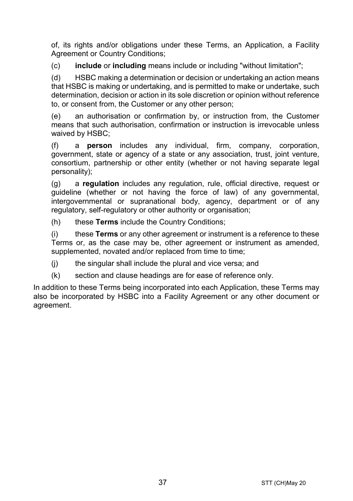of, its rights and/or obligations under these Terms, an Application, a Facility Agreement or Country Conditions;

(c) **include** or **including** means include or including "without limitation";

(d) HSBC making a determination or decision or undertaking an action means that HSBC is making or undertaking, and is permitted to make or undertake, such determination, decision or action in its sole discretion or opinion without reference to, or consent from, the Customer or any other person;

(e) an authorisation or confirmation by, or instruction from, the Customer means that such authorisation, confirmation or instruction is irrevocable unless waived by HSBC;

(f) a **person** includes any individual, firm, company, corporation, government, state or agency of a state or any association, trust, joint venture, consortium, partnership or other entity (whether or not having separate legal personality);

(g) a **regulation** includes any regulation, rule, official directive, request or guideline (whether or not having the force of law) of any governmental, intergovernmental or supranational body, agency, department or of any regulatory, self-regulatory or other authority or organisation;

(h) these **Terms** include the Country Conditions;

(i) these **Terms** or any other agreement or instrument is a reference to these Terms or, as the case may be, other agreement or instrument as amended, supplemented, novated and/or replaced from time to time;

(j) the singular shall include the plural and vice versa; and

(k) section and clause headings are for ease of reference only.

In addition to these Terms being incorporated into each Application, these Terms may also be incorporated by HSBC into a Facility Agreement or any other document or agreement.